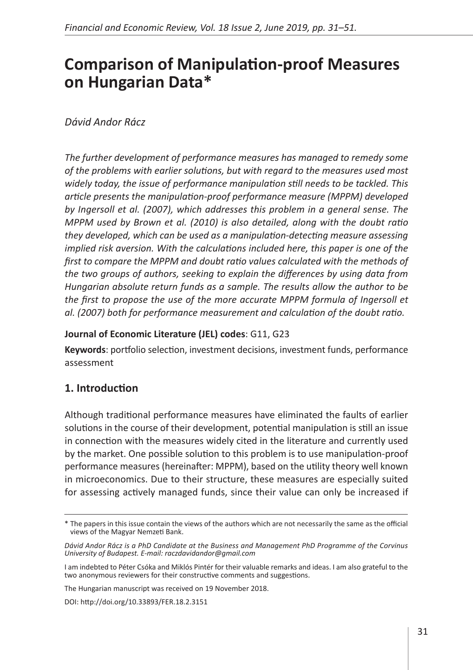# **Comparison of Manipulation-proof Measures on Hungarian Data\***

## *Dávid Andor Rácz*

*The further development of performance measures has managed to remedy some of the problems with earlier solutions, but with regard to the measures used most widely today, the issue of performance manipulation still needs to be tackled. This article presents the manipulation-proof performance measure (MPPM) developed by Ingersoll et al. (2007), which addresses this problem in a general sense. The MPPM used by Brown et al. (2010) is also detailed, along with the doubt ratio they developed, which can be used as a manipulation-detecting measure assessing implied risk aversion. With the calculations included here, this paper is one of the first to compare the MPPM and doubt ratio values calculated with the methods of the two groups of authors, seeking to explain the differences by using data from Hungarian absolute return funds as a sample. The results allow the author to be*  the first to propose the use of the more accurate MPPM formula of Ingersoll et *al. (2007) both for performance measurement and calculation of the doubt ratio.*

#### **Journal of Economic Literature (JEL) codes**: G11, G23

**Keywords**: portfolio selection, investment decisions, investment funds, performance assessment

## **1. Introduction**

Although traditional performance measures have eliminated the faults of earlier solutions in the course of their development, potential manipulation is still an issue in connection with the measures widely cited in the literature and currently used by the market. One possible solution to this problem is to use manipulation-proof performance measures (hereinafter: MPPM), based on the utility theory well known in microeconomics. Due to their structure, these measures are especially suited for assessing actively managed funds, since their value can only be increased if

The Hungarian manuscript was received on 19 November 2018.

DOI:<http://doi.org/10.33893/FER.18.2.3151>

<sup>\*</sup> The papers in this issue contain the views of the authors which are not necessarily the same as the official views of the Magyar Nemzeti Bank.

*Dávid Andor Rácz is a PhD Candidate at the Business and Management PhD Programme of the Corvinus University of Budapest. E-mail: raczdavidandor@gmail.com*

I am indebted to Péter Csóka and Miklós Pintér for their valuable remarks and ideas. I am also grateful to the two anonymous reviewers for their constructive comments and suggestions.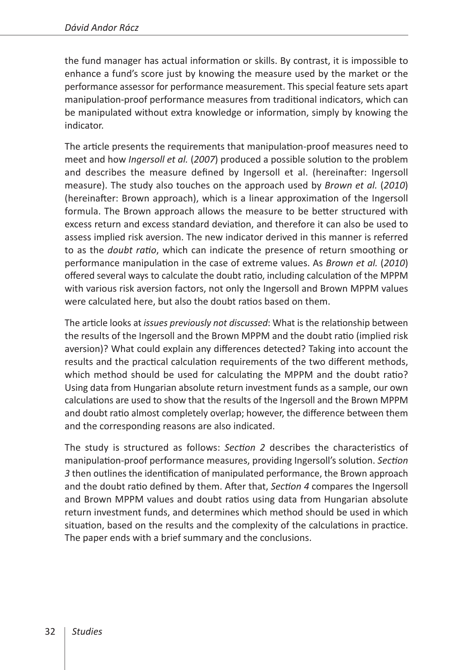the fund manager has actual information or skills. By contrast, it is impossible to enhance a fund's score just by knowing the measure used by the market or the performance assessor for performance measurement. This special feature sets apart manipulation-proof performance measures from traditional indicators, which can be manipulated without extra knowledge or information, simply by knowing the indicator.

The article presents the requirements that manipulation-proof measures need to meet and how *Ingersoll et al.* (*2007*) produced a possible solution to the problem and describes the measure defined by Ingersoll et al. (hereinafter: Ingersoll measure). The study also touches on the approach used by *Brown et al.* (*2010*) (hereinafter: Brown approach), which is a linear approximation of the Ingersoll formula. The Brown approach allows the measure to be better structured with excess return and excess standard deviation, and therefore it can also be used to assess implied risk aversion. The new indicator derived in this manner is referred to as the *doubt ratio*, which can indicate the presence of return smoothing or performance manipulation in the case of extreme values. As *Brown et al.* (*2010*) offered several ways to calculate the doubt ratio, including calculation of the MPPM with various risk aversion factors, not only the Ingersoll and Brown MPPM values were calculated here, but also the doubt ratios based on them.

The article looks at *issues previously not discussed*: What is the relationship between the results of the Ingersoll and the Brown MPPM and the doubt ratio (implied risk aversion)? What could explain any differences detected? Taking into account the results and the practical calculation requirements of the two different methods, which method should be used for calculating the MPPM and the doubt ratio? Using data from Hungarian absolute return investment funds as a sample, our own calculations are used to show that the results of the Ingersoll and the Brown MPPM and doubt ratio almost completely overlap; however, the difference between them and the corresponding reasons are also indicated.

The study is structured as follows: *Section 2* describes the characteristics of manipulation-proof performance measures, providing Ingersoll's solution. *Section 3* then outlines the identification of manipulated performance, the Brown approach and the doubt ratio defined by them. After that, *Section 4* compares the Ingersoll and Brown MPPM values and doubt ratios using data from Hungarian absolute return investment funds, and determines which method should be used in which situation, based on the results and the complexity of the calculations in practice. The paper ends with a brief summary and the conclusions.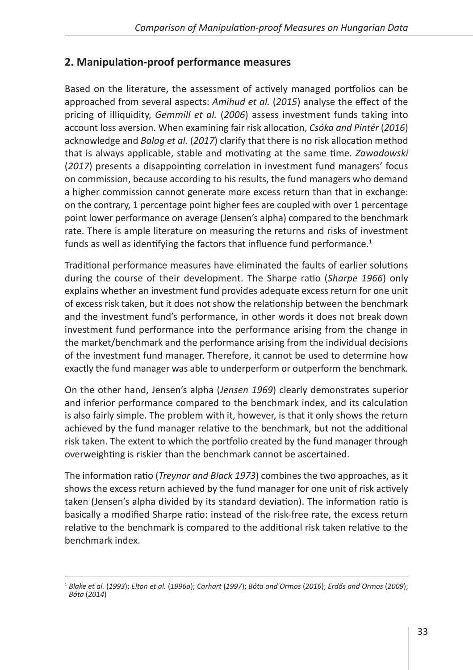## **2. Manipulation-proof performance measures**

Based on the literature, the assessment of actively managed portfolios can be approached from several aspects: *Amihud et al.* (*2015*) analyse the effect of the pricing of illiquidity, *Gemmill et al.* (*2006*) assess investment funds taking into account loss aversion. When examining fair risk allocation, *Csóka and Pintér* (*2016*) acknowledge and *Balog et al.* (*2017*) clarify that there is no risk allocation method that is always applicable, stable and motivating at the same time. *Zawadowski* (*2017*) presents a disappointing correlation in investment fund managers' focus on commission, because according to his results, the fund managers who demand a higher commission cannot generate more excess return than that in exchange: on the contrary, 1 percentage point higher fees are coupled with over 1 percentage point lower performance on average (Jensen's alpha) compared to the benchmark rate. There is ample literature on measuring the returns and risks of investment funds as well as identifying the factors that influence fund performance. $1$ 

Traditional performance measures have eliminated the faults of earlier solutions during the course of their development. The Sharpe ratio (*Sharpe 1966*) only explains whether an investment fund provides adequate excess return for one unit of excess risk taken, but it does not show the relationship between the benchmark and the investment fund's performance, in other words it does not break down investment fund performance into the performance arising from the change in the market/benchmark and the performance arising from the individual decisions of the investment fund manager. Therefore, it cannot be used to determine how exactly the fund manager was able to underperform or outperform the benchmark.

On the other hand, Jensen's alpha (*Jensen 1969*) clearly demonstrates superior and inferior performance compared to the benchmark index, and its calculation is also fairly simple. The problem with it, however, is that it only shows the return achieved by the fund manager relative to the benchmark, but not the additional risk taken. The extent to which the portfolio created by the fund manager through overweighting is riskier than the benchmark cannot be ascertained.

The information ratio (*Treynor and Black 1973*) combines the two approaches, as it shows the excess return achieved by the fund manager for one unit of risk actively taken (Jensen's alpha divided by its standard deviation). The information ratio is basically a modified Sharpe ratio: instead of the risk-free rate, the excess return relative to the benchmark is compared to the additional risk taken relative to the benchmark index.

<sup>1</sup> *Blake et al.* (*1993*); *Elton et al.* (*1996a*); *Carhart* (*1997*); *Bóta and Ormos* (*2016*); *Erdős and Ormos* (*2009*); *Bóta* (*2014*)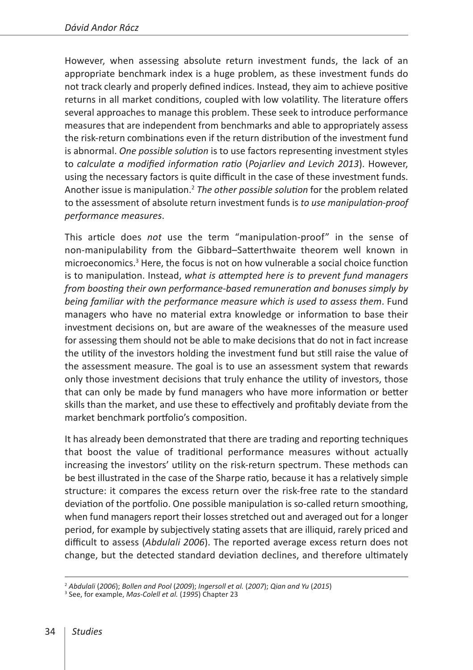However, when assessing absolute return investment funds, the lack of an appropriate benchmark index is a huge problem, as these investment funds do not track clearly and properly defined indices. Instead, they aim to achieve positive returns in all market conditions, coupled with low volatility. The literature offers several approaches to manage this problem. These seek to introduce performance measures that are independent from benchmarks and able to appropriately assess the risk-return combinations even if the return distribution of the investment fund is abnormal. *One possible solution* is to use factors representing investment styles to *calculate a modified information ratio* (*Pojarliev and Levich 2013*). However, using the necessary factors is quite difficult in the case of these investment funds. Another issue is manipulation.2 *The other possible solution* for the problem related to the assessment of absolute return investment funds is *to use manipulation-proof performance measures*.

This article does *not* use the term "manipulation-proof" in the sense of non-manipulability from the Gibbard–Satterthwaite theorem well known in microeconomics.<sup>3</sup> Here, the focus is not on how vulnerable a social choice function is to manipulation. Instead, *what is attempted here is to prevent fund managers from boosting their own performance-based remuneration and bonuses simply by being familiar with the performance measure which is used to assess them*. Fund managers who have no material extra knowledge or information to base their investment decisions on, but are aware of the weaknesses of the measure used for assessing them should not be able to make decisions that do not in fact increase the utility of the investors holding the investment fund but still raise the value of the assessment measure. The goal is to use an assessment system that rewards only those investment decisions that truly enhance the utility of investors, those that can only be made by fund managers who have more information or better skills than the market, and use these to effectively and profitably deviate from the market benchmark portfolio's composition.

It has already been demonstrated that there are trading and reporting techniques that boost the value of traditional performance measures without actually increasing the investors' utility on the risk-return spectrum. These methods can be best illustrated in the case of the Sharpe ratio, because it has a relatively simple structure: it compares the excess return over the risk-free rate to the standard deviation of the portfolio. One possible manipulation is so-called return smoothing, when fund managers report their losses stretched out and averaged out for a longer period, for example by subjectively stating assets that are illiquid, rarely priced and difficult to assess (*Abdulali 2006*). The reported average excess return does not change, but the detected standard deviation declines, and therefore ultimately

<sup>&</sup>lt;sup>2</sup> Abdulali (2006); Bollen and Pool (2009); *Ingersoll et al. (2007*); Qian and Yu (2015)<br><sup>3</sup> See, for example, Mas-Colell et al. (1995) Chapter 23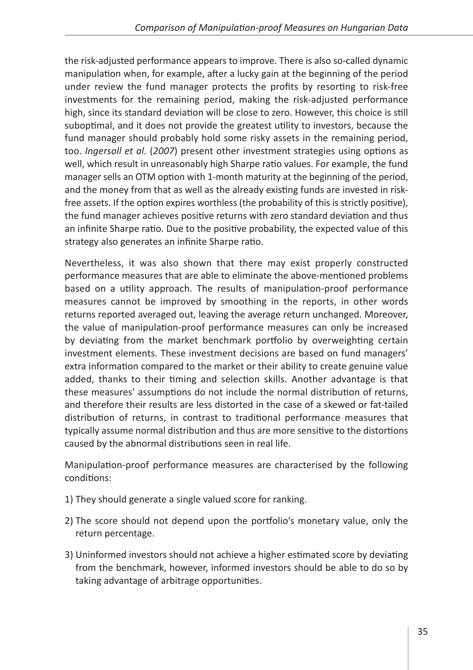the risk-adjusted performance appears to improve. There is also so-called dynamic manipulation when, for example, after a lucky gain at the beginning of the period under review the fund manager protects the profits by resorting to risk-free investments for the remaining period, making the risk-adjusted performance high, since its standard deviation will be close to zero. However, this choice is still suboptimal, and it does not provide the greatest utility to investors, because the fund manager should probably hold some risky assets in the remaining period, too. *Ingersoll et al.* (*2007*) present other investment strategies using options as well, which result in unreasonably high Sharpe ratio values. For example, the fund manager sells an OTM option with 1-month maturity at the beginning of the period, and the money from that as well as the already existing funds are invested in riskfree assets. If the option expires worthless (the probability of this is strictly positive), the fund manager achieves positive returns with zero standard deviation and thus an infinite Sharpe ratio. Due to the positive probability, the expected value of this strategy also generates an infinite Sharpe ratio.

Nevertheless, it was also shown that there may exist properly constructed performance measures that are able to eliminate the above-mentioned problems based on a utility approach. The results of manipulation-proof performance measures cannot be improved by smoothing in the reports, in other words returns reported averaged out, leaving the average return unchanged. Moreover, the value of manipulation-proof performance measures can only be increased by deviating from the market benchmark portfolio by overweighting certain investment elements. These investment decisions are based on fund managers' extra information compared to the market or their ability to create genuine value added, thanks to their timing and selection skills. Another advantage is that these measures' assumptions do not include the normal distribution of returns, and therefore their results are less distorted in the case of a skewed or fat-tailed distribution of returns, in contrast to traditional performance measures that typically assume normal distribution and thus are more sensitive to the distortions caused by the abnormal distributions seen in real life.

Manipulation-proof performance measures are characterised by the following conditions:

- 1) They should generate a single valued score for ranking.
- 2) The score should not depend upon the portfolio's monetary value, only the return percentage.
- 3) Uninformed investors should not achieve a higher estimated score by deviating from the benchmark, however, informed investors should be able to do so by taking advantage of arbitrage opportunities.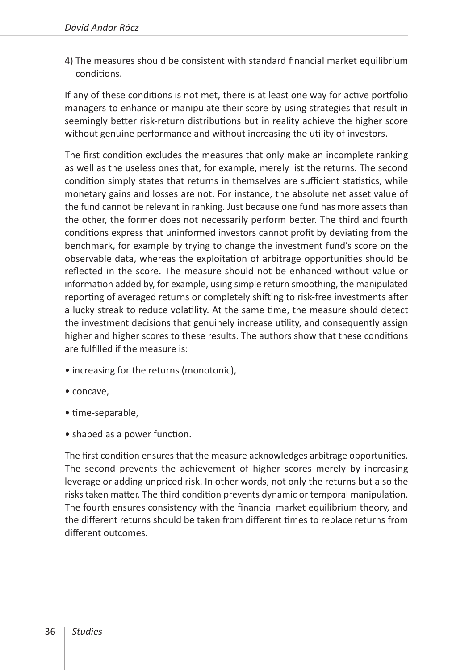4) The measures should be consistent with standard financial market equilibrium conditions.

If any of these conditions is not met, there is at least one way for active portfolio managers to enhance or manipulate their score by using strategies that result in seemingly better risk-return distributions but in reality achieve the higher score without genuine performance and without increasing the utility of investors.

The first condition excludes the measures that only make an incomplete ranking as well as the useless ones that, for example, merely list the returns. The second condition simply states that returns in themselves are sufficient statistics, while monetary gains and losses are not. For instance, the absolute net asset value of the fund cannot be relevant in ranking. Just because one fund has more assets than the other, the former does not necessarily perform better. The third and fourth conditions express that uninformed investors cannot profit by deviating from the benchmark, for example by trying to change the investment fund's score on the observable data, whereas the exploitation of arbitrage opportunities should be reflected in the score. The measure should not be enhanced without value or information added by, for example, using simple return smoothing, the manipulated reporting of averaged returns or completely shifting to risk-free investments after a lucky streak to reduce volatility. At the same time, the measure should detect the investment decisions that genuinely increase utility, and consequently assign higher and higher scores to these results. The authors show that these conditions are fulfilled if the measure is:

- increasing for the returns (monotonic),
- concave,
- time-separable,
- shaped as a power function.

The first condition ensures that the measure acknowledges arbitrage opportunities. The second prevents the achievement of higher scores merely by increasing leverage or adding unpriced risk. In other words, not only the returns but also the risks taken matter. The third condition prevents dynamic or temporal manipulation. The fourth ensures consistency with the financial market equilibrium theory, and the different returns should be taken from different times to replace returns from different outcomes.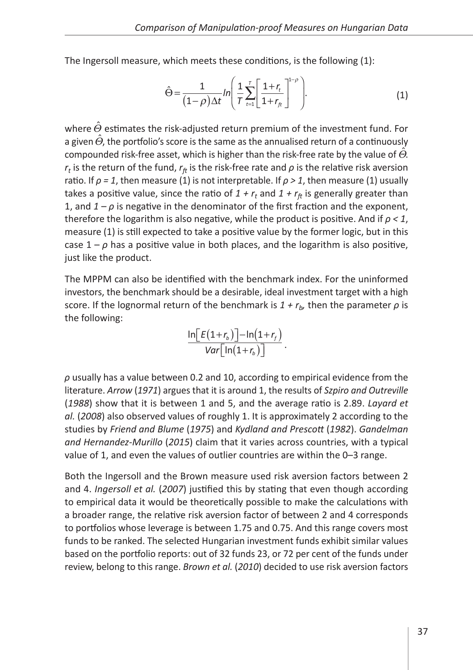The Ingersoll measure, which meets these conditions, is the following (1):

$$
\hat{\Theta} = \frac{1}{(1-\rho)\Delta t} ln \left( \frac{1}{T} \sum_{t=1}^{T} \left[ \frac{1+r_t}{1+r_{ft}} \right]^{1-\rho} \right).
$$
 (1)

where  $\hat{\Theta}$  estimates the risk-adjusted return premium of the investment fund. For a given  $\hat{\Theta}$ , the portfolio's score is the same as the annualised return of a continuously compounded risk-free asset, which is higher than the risk-free rate by the value of  $\ddot{\Theta}$ .  $r<sub>t</sub>$  is the return of the fund,  $r<sub>f</sub>$  is the risk-free rate and  $\rho$  is the relative risk aversion ratio. If  $\rho = 1$ , then measure (1) is not interpretable. If  $\rho > 1$ , then measure (1) usually takes a positive value, since the ratio of  $1 + r_t$  and  $1 + r_{ft}$  is generally greater than 1, and  $1 - \rho$  is negative in the denominator of the first fraction and the exponent, therefore the logarithm is also negative, while the product is positive. And if *ρ < 1*, measure (1) is still expected to take a positive value by the former logic, but in this case  $1 - \rho$  has a positive value in both places, and the logarithm is also positive, just like the product.

The MPPM can also be identified with the benchmark index. For the uninformed investors, the benchmark should be a desirable, ideal investment target with a high score. If the lognormal return of the benchmark is  $1 + r_b$ , then the parameter  $\rho$  is the following:

$$
\frac{\ln \left[E(1+r_b)\right]-\ln(1+r_f)}{\text{Var}\left[\ln(1+r_b)\right]}.
$$

*ρ* usually has a value between 0.2 and 10, according to empirical evidence from the literature. *Arrow* (*1971*) argues that it is around 1, the results of *Szpiro and Outreville* (*1988*) show that it is between 1 and 5, and the average ratio is 2.89. *Layard et al.* (*2008*) also observed values of roughly 1. It is approximately 2 according to the studies by *Friend and Blume* (*1975*) and *Kydland and Prescott* (*1982*). *Gandelman and Hernandez-Murillo* (*2015*) claim that it varies across countries, with a typical value of 1, and even the values of outlier countries are within the 0–3 range.

Both the Ingersoll and the Brown measure used risk aversion factors between 2 and 4. *Ingersoll et al.* (*2007*) justified this by stating that even though according to empirical data it would be theoretically possible to make the calculations with a broader range, the relative risk aversion factor of between 2 and 4 corresponds to portfolios whose leverage is between 1.75 and 0.75. And this range covers most funds to be ranked. The selected Hungarian investment funds exhibit similar values based on the portfolio reports: out of 32 funds 23, or 72 per cent of the funds under review, belong to this range. *Brown et al.* (*2010*) decided to use risk aversion factors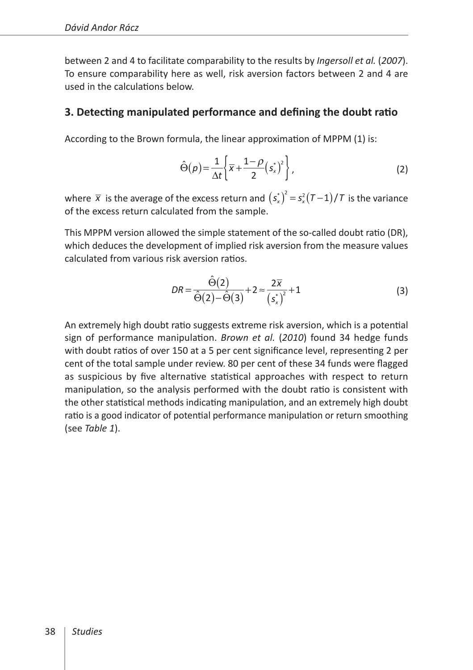between 2 and 4 to facilitate comparability to the results by *Ingersoll et al.* (*2007*). To ensure comparability here as well, risk aversion factors between 2 and 4 are used in the calculations below.

## **3. Detecting manipulated performance and defining the doubt ratio**

According to the Brown formula, the linear approximation of MPPM (1) is:

$$
\hat{\Theta}(\rho) = \frac{1}{\Delta t} \left\{ \overline{x} + \frac{1-\rho}{2} \left(s_x^*\right)^2 \right\},\tag{2}
$$

where  $\bar{x}$  is the average of the excess return and  $(s_x^*)^2 = s_x^2(T-1)/T$  is the variance of the excess return calculated from the sample.

This MPPM version allowed the simple statement of the so-called doubt ratio (DR), which deduces the development of implied risk aversion from the measure values calculated from various risk aversion ratios.

$$
DR = \frac{\hat{\Theta}(2)}{\hat{\Theta}(2) - \hat{\Theta}(3)} + 2 \approx \frac{2\overline{x}}{(s_x^*)^2} + 1
$$
 (3)

An extremely high doubt ratio suggests extreme risk aversion, which is a potential sign of performance manipulation. *Brown et al.* (*2010*) found 34 hedge funds with doubt ratios of over 150 at a 5 per cent significance level, representing 2 per cent of the total sample under review. 80 per cent of these 34 funds were flagged as suspicious by five alternative statistical approaches with respect to return manipulation, so the analysis performed with the doubt ratio is consistent with the other statistical methods indicating manipulation, and an extremely high doubt ratio is a good indicator of potential performance manipulation or return smoothing (see *Table 1*).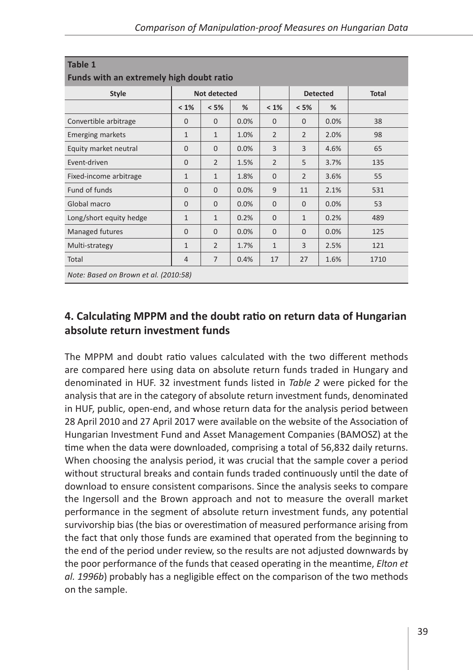| <b>Style</b>            |                | Not detected   |      |                |                | <b>Detected</b> | <b>Total</b> |
|-------------------------|----------------|----------------|------|----------------|----------------|-----------------|--------------|
|                         | $< 1\%$        | < 5%           | %    | $< 1\%$        | < 5%           | %               |              |
| Convertible arbitrage   | $\mathbf{0}$   | $\Omega$       | 0.0% | $\Omega$       | $\Omega$       | 0.0%            | 38           |
| <b>Emerging markets</b> | $\mathbf{1}$   | $\mathbf{1}$   | 1.0% | $\overline{2}$ | $\overline{2}$ | 2.0%            | 98           |
| Equity market neutral   | $\Omega$       | $\Omega$       | 0.0% | 3              | 3              | 4.6%            | 65           |
| Event-driven            | $\mathbf{0}$   | $\overline{2}$ | 1.5% | $\overline{2}$ | 5              | 3.7%            | 135          |
| Fixed-income arbitrage  | $\mathbf{1}$   | $\mathbf{1}$   | 1.8% | $\Omega$       | $\overline{2}$ | 3.6%            | 55           |
| Fund of funds           | $\Omega$       | $\Omega$       | 0.0% | 9              | 11             | 2.1%            | 531          |
| Global macro            | $\Omega$       | $\Omega$       | 0.0% | $\Omega$       | $\Omega$       | 0.0%            | 53           |
| Long/short equity hedge | $\mathbf{1}$   | $\mathbf{1}$   | 0.2% | $\Omega$       | $\mathbf{1}$   | 0.2%            | 489          |
| Managed futures         | $\Omega$       | $\Omega$       | 0.0% | $\Omega$       | $\Omega$       | 0.0%            | 125          |
| Multi-strategy          | $\mathbf{1}$   | $\overline{2}$ | 1.7% | $\mathbf{1}$   | 3              | 2.5%            | 121          |
| Total                   | $\overline{4}$ | $\overline{7}$ | 0.4% | 17             | 27             | 1.6%            | 1710         |

# **4. Calculating MPPM and the doubt ratio on return data of Hungarian absolute return investment funds**

The MPPM and doubt ratio values calculated with the two different methods are compared here using data on absolute return funds traded in Hungary and denominated in HUF. 32 investment funds listed in *Table 2* were picked for the analysis that are in the category of absolute return investment funds, denominated in HUF, public, open-end, and whose return data for the analysis period between 28 April 2010 and 27 April 2017 were available on the website of the Association of Hungarian Investment Fund and Asset Management Companies (BAMOSZ) at the time when the data were downloaded, comprising a total of 56,832 daily returns. When choosing the analysis period, it was crucial that the sample cover a period without structural breaks and contain funds traded continuously until the date of download to ensure consistent comparisons. Since the analysis seeks to compare the Ingersoll and the Brown approach and not to measure the overall market performance in the segment of absolute return investment funds, any potential survivorship bias (the bias or overestimation of measured performance arising from the fact that only those funds are examined that operated from the beginning to the end of the period under review, so the results are not adjusted downwards by the poor performance of the funds that ceased operating in the meantime, *Elton et al. 1996b*) probably has a negligible effect on the comparison of the two methods on the sample.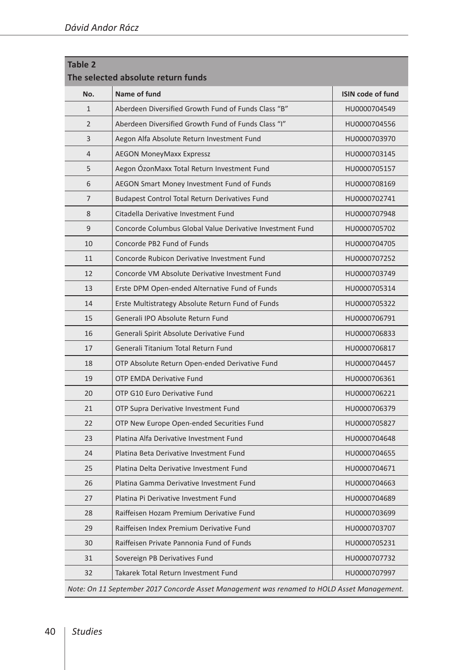| <b>Table 2</b> | The selected absolute return funds                                                         |                          |
|----------------|--------------------------------------------------------------------------------------------|--------------------------|
| No.            | Name of fund                                                                               | <b>ISIN code of fund</b> |
| $\mathbf{1}$   | Aberdeen Diversified Growth Fund of Funds Class "B"                                        | HU0000704549             |
| $\overline{2}$ | Aberdeen Diversified Growth Fund of Funds Class "I"                                        | HU0000704556             |
| 3              | Aegon Alfa Absolute Return Investment Fund                                                 | HU0000703970             |
| 4              | <b>AEGON MoneyMaxx Expressz</b>                                                            | HU0000703145             |
| 5              | Aegon ÓzonMaxx Total Return Investment Fund                                                | HU0000705157             |
| 6              | AEGON Smart Money Investment Fund of Funds                                                 | HU0000708169             |
| 7              | <b>Budapest Control Total Return Derivatives Fund</b>                                      | HU0000702741             |
| 8              | Citadella Derivative Investment Fund                                                       | HU0000707948             |
| 9              | Concorde Columbus Global Value Derivative Investment Fund                                  | HU0000705702             |
| 10             | Concorde PB2 Fund of Funds                                                                 | HU0000704705             |
| 11             | Concorde Rubicon Derivative Investment Fund                                                | HU0000707252             |
| 12             | Concorde VM Absolute Derivative Investment Fund                                            | HU0000703749             |
| 13             | Erste DPM Open-ended Alternative Fund of Funds                                             | HU0000705314             |
| 14             | Erste Multistrategy Absolute Return Fund of Funds                                          | HU0000705322             |
| 15             | Generali IPO Absolute Return Fund                                                          | HU0000706791             |
| 16             | Generali Spirit Absolute Derivative Fund                                                   | HU0000706833             |
| 17             | Generali Titanium Total Return Fund                                                        | HU0000706817             |
| 18             | OTP Absolute Return Open-ended Derivative Fund                                             | HU0000704457             |
| 19             | <b>OTP EMDA Derivative Fund</b>                                                            | HU0000706361             |
| 20             | OTP G10 Euro Derivative Fund                                                               | HU0000706221             |
| 21             | OTP Supra Derivative Investment Fund                                                       | HU0000706379             |
| 22             | OTP New Europe Open-ended Securities Fund                                                  | HU0000705827             |
| 23             | Platina Alfa Derivative Investment Fund                                                    | HU0000704648             |
| 24             | Platina Beta Derivative Investment Fund                                                    | HU0000704655             |
| 25             | Platina Delta Derivative Investment Fund                                                   | HU0000704671             |
| 26             | Platina Gamma Derivative Investment Fund                                                   | HU0000704663             |
| 27             | Platina Pi Derivative Investment Fund                                                      | HU0000704689             |
| 28             | Raiffeisen Hozam Premium Derivative Fund                                                   | HU0000703699             |
| 29             | Raiffeisen Index Premium Derivative Fund                                                   | HU0000703707             |
| 30             | Raiffeisen Private Pannonia Fund of Funds                                                  | HU0000705231             |
| 31             | Sovereign PB Derivatives Fund                                                              | HU0000707732             |
| 32             | Takarek Total Return Investment Fund                                                       | HU0000707997             |
|                | Note: On 11 September 2017 Concorde Asset Management was renamed to HOLD Asset Management. |                          |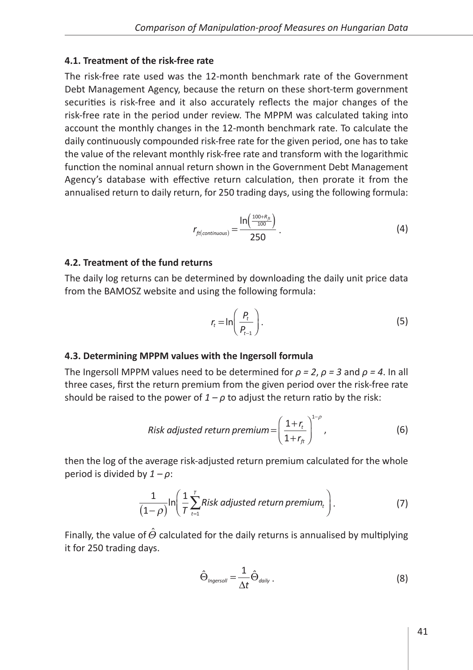#### **4.1. Treatment of the risk-free rate**

The risk-free rate used was the 12-month benchmark rate of the Government Debt Management Agency, because the return on these short-term government securities is risk-free and it also accurately reflects the major changes of the risk-free rate in the period under review. The MPPM was calculated taking into account the monthly changes in the 12-month benchmark rate. To calculate the daily continuously compounded risk-free rate for the given period, one has to take the value of the relevant monthly risk-free rate and transform with the logarithmic function the nominal annual return shown in the Government Debt Management Agency's database with effective return calculation, then prorate it from the annualised return to daily return, for 250 trading days, using the following formula:

$$
r_{ft(continuous)} = \frac{\ln\left(\frac{100+R_{ft}}{100}\right)}{250} \tag{4}
$$

#### **4.2. Treatment of the fund returns**

The daily log returns can be determined by downloading the daily unit price data from the BAMOSZ website and using the following formula:

$$
r_t = \ln\left(\frac{P_t}{P_{t-1}}\right). \tag{5}
$$

#### **4.3. Determining MPPM values with the Ingersoll formula**

The Ingersoll MPPM values need to be determined for *ρ = 2*, *ρ = 3* and *ρ = 4*. In all three cases, first the return premium from the given period over the risk-free rate should be raised to the power of  $1 - \rho$  to adjust the return ratio by the risk:

Risk adjusted return premium = 
$$
\left(\frac{1+r_t}{1+r_{ft}}\right)^{1-\rho}
$$
, (6)

then the log of the average risk-adjusted return premium calculated for the whole period is divided by *1 – ρ*:

$$
\frac{1}{(1-\rho)}\ln\left(\frac{1}{T}\sum_{t=1}^{T}Risk \text{ adjusted return premium}_{t}\right).
$$
 (7)

Finally, the value of  $\ddot{\Theta}$  calculated for the daily returns is annualised by multiplying it for 250 trading days.

$$
\hat{\Theta}_{\text{Ingersoll}} = \frac{1}{\Delta t} \hat{\Theta}_{\text{daily}} \,. \tag{8}
$$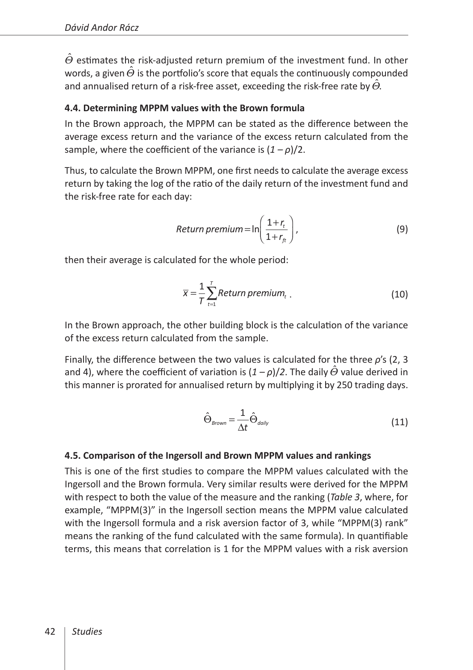$\Theta$  estimates the risk-adjusted return premium of the investment fund. In other words, a given  $\Theta$  is the portfolio's score that equals the continuously compounded and annualised return of a risk-free asset, exceeding the risk-free rate by  $\Theta$ .

#### **4.4. Determining MPPM values with the Brown formula**

In the Brown approach, the MPPM can be stated as the difference between the average excess return and the variance of the excess return calculated from the sample, where the coefficient of the variance is (*1 – ρ*)/2.

Thus, to calculate the Brown MPPM, one first needs to calculate the average excess return by taking the log of the ratio of the daily return of the investment fund and the risk-free rate for each day:

$$
Return premium = \ln\left(\frac{1+r_t}{1+r_t}\right),\tag{9}
$$

then their average is calculated for the whole period:

$$
\overline{x} = \frac{1}{T} \sum_{t=1}^{T} Return\ premium_t
$$
 (10)

In the Brown approach, the other building block is the calculation of the variance of the excess return calculated from the sample.

Finally, the difference between the two values is calculated for the three *ρ*'s (2, 3 and 4), where the coefficient of variation is  $(1 - \rho)/2$ . The daily  $\Theta$  value derived in this manner is prorated for annualised return by multiplying it by 250 trading days.

$$
\hat{\Theta}_{\text{Brown}} = \frac{1}{\Delta t} \hat{\Theta}_{\text{daily}} \tag{11}
$$

#### **4.5. Comparison of the Ingersoll and Brown MPPM values and rankings**

This is one of the first studies to compare the MPPM values calculated with the Ingersoll and the Brown formula. Very similar results were derived for the MPPM with respect to both the value of the measure and the ranking (*Table 3*, where, for example, "MPPM(3)" in the Ingersoll section means the MPPM value calculated with the Ingersoll formula and a risk aversion factor of 3, while "MPPM(3) rank" means the ranking of the fund calculated with the same formula). In quantifiable terms, this means that correlation is 1 for the MPPM values with a risk aversion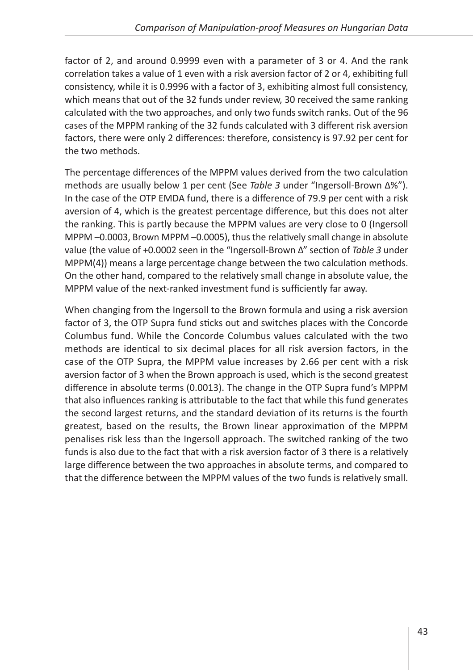factor of 2, and around 0.9999 even with a parameter of 3 or 4. And the rank correlation takes a value of 1 even with a risk aversion factor of 2 or 4, exhibiting full consistency, while it is 0.9996 with a factor of 3, exhibiting almost full consistency, which means that out of the 32 funds under review, 30 received the same ranking calculated with the two approaches, and only two funds switch ranks. Out of the 96 cases of the MPPM ranking of the 32 funds calculated with 3 different risk aversion factors, there were only 2 differences: therefore, consistency is 97.92 per cent for the two methods.

The percentage differences of the MPPM values derived from the two calculation methods are usually below 1 per cent (See *Table 3* under "Ingersoll-Brown Δ%"). In the case of the OTP EMDA fund, there is a difference of 79.9 per cent with a risk aversion of 4, which is the greatest percentage difference, but this does not alter the ranking. This is partly because the MPPM values are very close to 0 (Ingersoll MPPM –0.0003, Brown MPPM –0.0005), thus the relatively small change in absolute value (the value of +0.0002 seen in the "Ingersoll-Brown Δ" section of *Table 3* under MPPM(4)) means a large percentage change between the two calculation methods. On the other hand, compared to the relatively small change in absolute value, the MPPM value of the next-ranked investment fund is sufficiently far away.

When changing from the Ingersoll to the Brown formula and using a risk aversion factor of 3, the OTP Supra fund sticks out and switches places with the Concorde Columbus fund. While the Concorde Columbus values calculated with the two methods are identical to six decimal places for all risk aversion factors, in the case of the OTP Supra, the MPPM value increases by 2.66 per cent with a risk aversion factor of 3 when the Brown approach is used, which is the second greatest difference in absolute terms (0.0013). The change in the OTP Supra fund's MPPM that also influences ranking is attributable to the fact that while this fund generates the second largest returns, and the standard deviation of its returns is the fourth greatest, based on the results, the Brown linear approximation of the MPPM penalises risk less than the Ingersoll approach. The switched ranking of the two funds is also due to the fact that with a risk aversion factor of 3 there is a relatively large difference between the two approaches in absolute terms, and compared to that the difference between the MPPM values of the two funds is relatively small.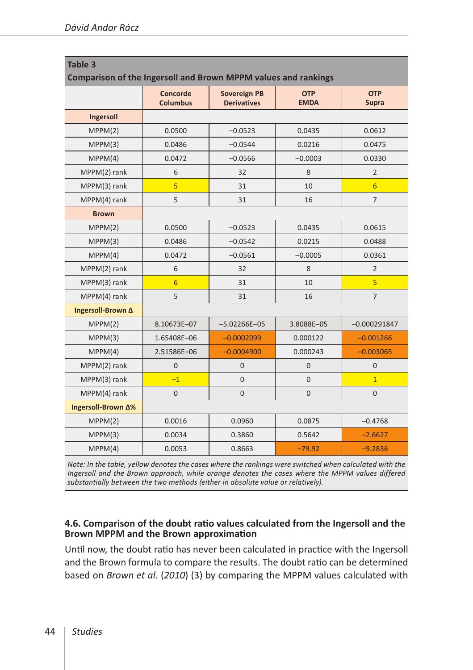| <b>Table 3</b><br>Comparison of the Ingersoll and Brown MPPM values and rankings |                             |                                           |                           |                            |
|----------------------------------------------------------------------------------|-----------------------------|-------------------------------------------|---------------------------|----------------------------|
|                                                                                  | Concorde<br><b>Columbus</b> | <b>Sovereign PB</b><br><b>Derivatives</b> | <b>OTP</b><br><b>EMDA</b> | <b>OTP</b><br><b>Supra</b> |
| Ingersoll                                                                        |                             |                                           |                           |                            |
| MPPM(2)                                                                          | 0.0500                      | $-0.0523$                                 | 0.0435                    | 0.0612                     |
| MPPM(3)                                                                          | 0.0486                      | $-0.0544$                                 | 0.0216                    | 0.0475                     |
| MPPM(4)                                                                          | 0.0472                      | $-0.0566$                                 | $-0.0003$                 | 0.0330                     |
| MPPM(2) rank                                                                     | 6                           | 32                                        | 8                         | $\overline{2}$             |
| MPPM(3) rank                                                                     | $\overline{5}$              | 31                                        | 10                        | $6\overline{6}$            |
| MPPM(4) rank                                                                     | 5                           | 31                                        | 16                        | $\overline{7}$             |
| <b>Brown</b>                                                                     |                             |                                           |                           |                            |
| MPPM(2)                                                                          | 0.0500                      | $-0.0523$                                 | 0.0435                    | 0.0615                     |
| MPPM(3)                                                                          | 0.0486                      | $-0.0542$                                 | 0.0215                    | 0.0488                     |
| MPPM(4)                                                                          | 0.0472                      | $-0.0561$                                 | $-0.0005$                 | 0.0361                     |
| MPPM(2) rank                                                                     | 6                           | 32                                        | 8                         | $\overline{2}$             |
| MPPM(3) rank                                                                     | $6\overline{6}$             | 31                                        | 10                        | $\overline{5}$             |
| MPPM(4) rank                                                                     | 5                           | 31                                        | 16                        | $\overline{7}$             |
| Ingersoll-Brown A                                                                |                             |                                           |                           |                            |
| MPPM(2)                                                                          | 8.10673E-07                 | $-5.02266E - 05$                          | 3.8088E-05                | $-0.000291847$             |
| MPPM(3)                                                                          | 1.65408E-06                 | $-0.0002099$                              | 0.000122                  | $-0.001266$                |
| MPPM(4)                                                                          | 2.51586E-06                 | $-0.0004900$                              | 0.000243                  | $-0.003065$                |
| MPPM(2) rank                                                                     | 0                           | $\mathbf{0}$                              | 0                         | $\mathbf{0}$               |
| MPPM(3) rank                                                                     | $-1$                        | $\overline{0}$                            | $\overline{0}$            | $\overline{1}$             |
| MPPM(4) rank                                                                     | $\mathbf 0$                 | $\overline{0}$                            | 0                         | $\mathbf{0}$               |
| Ingersoll-Brown Δ%                                                               |                             |                                           |                           |                            |
| MPPM(2)                                                                          | 0.0016                      | 0.0960                                    | 0.0875                    | $-0.4768$                  |
| MPPM(3)                                                                          | 0.0034                      | 0.3860                                    | 0.5642                    | $-2.6627$                  |
| MPPM(4)                                                                          | 0.0053                      | 0.8663                                    | $-79.92$                  | $-9.2836$                  |

*Note: In the table, yellow denotes the cases where the rankings were switched when calculated with the Ingersoll and the Brown approach, while orange denotes the cases where the MPPM values differed substantially between the two methods (either in absolute value or relatively).*

#### **4.6. Comparison of the doubt ratio values calculated from the Ingersoll and the Brown MPPM and the Brown approximation**

Until now, the doubt ratio has never been calculated in practice with the Ingersoll and the Brown formula to compare the results. The doubt ratio can be determined based on *Brown et al.* (*2010*) (3) by comparing the MPPM values calculated with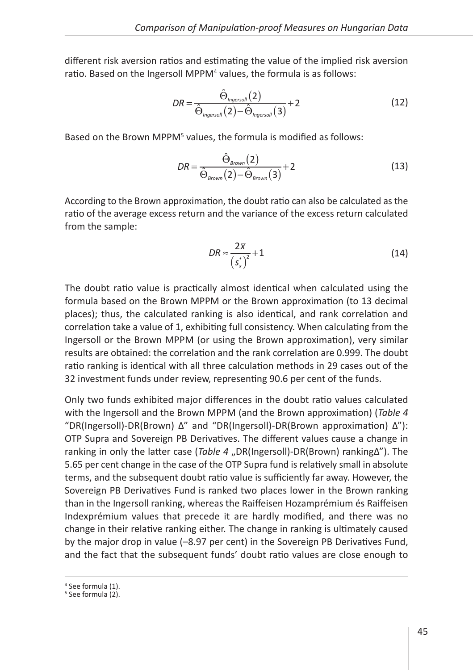different risk aversion ratios and estimating the value of the implied risk aversion ratio. Based on the Ingersoll MPPM<sup>4</sup> values, the formula is as follows:

$$
DR = \frac{\hat{\Theta}_{\text{Ingersoll}}(2)}{\hat{\Theta}_{\text{Ingersoll}}(2) - \hat{\Theta}_{\text{Ingersoll}}(3)} + 2
$$
\n(12)

Based on the Brown MPPM<sup>5</sup> values, the formula is modified as follows:

$$
DR = \frac{\hat{\Theta}_{\text{Brown}}(2)}{\hat{\Theta}_{\text{Brown}}(2) - \hat{\Theta}_{\text{Brown}}(3)} + 2
$$
\n(13)

According to the Brown approximation, the doubt ratio can also be calculated as the ratio of the average excess return and the variance of the excess return calculated from the sample:

$$
DR \approx \frac{2\overline{x}}{\left(s_x^*\right)^2} + 1\tag{14}
$$

The doubt ratio value is practically almost identical when calculated using the formula based on the Brown MPPM or the Brown approximation (to 13 decimal places); thus, the calculated ranking is also identical, and rank correlation and correlation take a value of 1, exhibiting full consistency. When calculating from the Ingersoll or the Brown MPPM (or using the Brown approximation), very similar results are obtained: the correlation and the rank correlation are 0.999. The doubt ratio ranking is identical with all three calculation methods in 29 cases out of the 32 investment funds under review, representing 90.6 per cent of the funds.

Only two funds exhibited major differences in the doubt ratio values calculated with the Ingersoll and the Brown MPPM (and the Brown approximation) (*Table 4* "DR(Ingersoll)-DR(Brown) Δ" and "DR(Ingersoll)-DR(Brown approximation) Δ"): OTP Supra and Sovereign PB Derivatives. The different values cause a change in ranking in only the latter case (*Table 4* "DR(Ingersoll)-DR(Brown) rankingΔ"). The 5.65 per cent change in the case of the OTP Supra fund is relatively small in absolute terms, and the subsequent doubt ratio value is sufficiently far away. However, the Sovereign PB Derivatives Fund is ranked two places lower in the Brown ranking than in the Ingersoll ranking, whereas the Raiffeisen Hozamprémium és Raiffeisen Indexprémium values that precede it are hardly modified, and there was no change in their relative ranking either. The change in ranking is ultimately caused by the major drop in value (–8.97 per cent) in the Sovereign PB Derivatives Fund, and the fact that the subsequent funds' doubt ratio values are close enough to

<sup>4</sup> See formula (1).

 $5$  See formula  $(2)$ .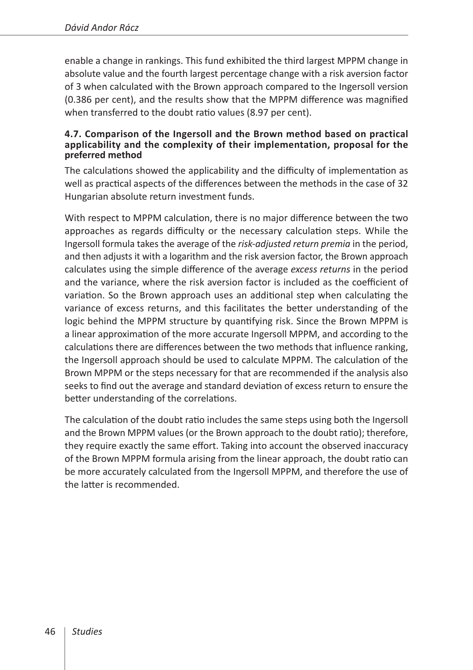enable a change in rankings. This fund exhibited the third largest MPPM change in absolute value and the fourth largest percentage change with a risk aversion factor of 3 when calculated with the Brown approach compared to the Ingersoll version (0.386 per cent), and the results show that the MPPM difference was magnified when transferred to the doubt ratio values (8.97 per cent).

#### **4.7. Comparison of the Ingersoll and the Brown method based on practical applicability and the complexity of their implementation, proposal for the preferred method**

The calculations showed the applicability and the difficulty of implementation as well as practical aspects of the differences between the methods in the case of 32 Hungarian absolute return investment funds.

With respect to MPPM calculation, there is no major difference between the two approaches as regards difficulty or the necessary calculation steps. While the Ingersoll formula takes the average of the *risk-adjusted return premia* in the period, and then adjusts it with a logarithm and the risk aversion factor, the Brown approach calculates using the simple difference of the average *excess returns* in the period and the variance, where the risk aversion factor is included as the coefficient of variation. So the Brown approach uses an additional step when calculating the variance of excess returns, and this facilitates the better understanding of the logic behind the MPPM structure by quantifying risk. Since the Brown MPPM is a linear approximation of the more accurate Ingersoll MPPM, and according to the calculations there are differences between the two methods that influence ranking, the Ingersoll approach should be used to calculate MPPM. The calculation of the Brown MPPM or the steps necessary for that are recommended if the analysis also seeks to find out the average and standard deviation of excess return to ensure the better understanding of the correlations.

The calculation of the doubt ratio includes the same steps using both the Ingersoll and the Brown MPPM values (or the Brown approach to the doubt ratio); therefore, they require exactly the same effort. Taking into account the observed inaccuracy of the Brown MPPM formula arising from the linear approach, the doubt ratio can be more accurately calculated from the Ingersoll MPPM, and therefore the use of the latter is recommended.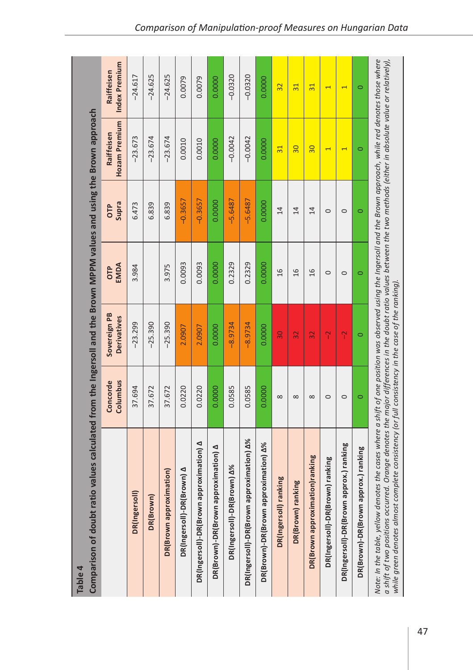| Table 4                                                                                                                                                                                                                                                                                                                                                                                                                                         |                      |                                    |             |                |                             |                             |
|-------------------------------------------------------------------------------------------------------------------------------------------------------------------------------------------------------------------------------------------------------------------------------------------------------------------------------------------------------------------------------------------------------------------------------------------------|----------------------|------------------------------------|-------------|----------------|-----------------------------|-----------------------------|
| Comparison of doubt ratio values calculated from the Ingersoll and the Brown MPPM values and using the Brown approach                                                                                                                                                                                                                                                                                                                           |                      |                                    |             |                |                             |                             |
|                                                                                                                                                                                                                                                                                                                                                                                                                                                 | Columbus<br>Concorde | Sovereign PB<br><b>Derivatives</b> | EMDA<br>ŌТP | Supra<br>ŌР    | Hozam Premium<br>Raiffeisen | Index Premium<br>Raiffeisen |
| DR(Ingersoll)                                                                                                                                                                                                                                                                                                                                                                                                                                   | 37.694               | $-23.299$                          | 3.984       | 6.473          | $-23.673$                   | $-24.617$                   |
| DR(Brown)                                                                                                                                                                                                                                                                                                                                                                                                                                       | 37.672               | $-25.390$                          |             | 6.839          | $-23.674$                   | $-24.625$                   |
| DR(Brown approximation)                                                                                                                                                                                                                                                                                                                                                                                                                         | 37.672               | $-25.390$                          | 3.975       | 6.839          | $-23.674$                   | $-24.625$                   |
| (Brown) A<br>DR(Ingersoll)-DR                                                                                                                                                                                                                                                                                                                                                                                                                   | 0.0220               | 2.0907                             | 0.0093      | $-0.3657$      | 0.0010                      | 0.0079                      |
| approximation) A<br>DR(Ingersoll)-DR(Brown                                                                                                                                                                                                                                                                                                                                                                                                      | 0.0220               | 2.0907                             | 0.0093      | $-0.3657$      | 0.0010                      | 0.0079                      |
| DR(Brown)-DR(Brown approximation) A                                                                                                                                                                                                                                                                                                                                                                                                             | 0.0000               | 0.0000                             | 0.0000      | 0.0000         | 0.0000                      | 0.0000                      |
| DR(Ingersoll)-DR(Brown) A%                                                                                                                                                                                                                                                                                                                                                                                                                      | 0.0585               | $-8.9734$                          | 0.2329      | $-5.6487$      | $-0.0042$                   | $-0.0320$                   |
| DR(Ingersoll)-DR(Brown approximation) A%                                                                                                                                                                                                                                                                                                                                                                                                        | 0.0585               | $-8.9734$                          | 0.2329      | $-5.6487$      | $-0.0042$                   | $-0.0320$                   |
| DR(Brown)-DR(Brown approximation) A%                                                                                                                                                                                                                                                                                                                                                                                                            | 0.0000               | 0.0000                             | 0.0000      | 0.0000         | 0.0000                      | 0.0000                      |
| ranking<br>DR(Ingersoll)                                                                                                                                                                                                                                                                                                                                                                                                                        | $\infty$             | $\overline{30}$                    | 16          | 14             | $\overline{31}$             | $\overline{32}$             |
| DR(Brown) ranking                                                                                                                                                                                                                                                                                                                                                                                                                               | ${}^{\circ}$         | 32                                 | 16          | 14             | $\overline{30}$             | $\overline{31}$             |
| DR(Brown approximation)ranking                                                                                                                                                                                                                                                                                                                                                                                                                  | $\infty$             | 32                                 | 16          | $\overline{1}$ | $\overline{30}$             | $\overline{31}$             |
| DR(Ingersoll)-DR(Brown) ranking                                                                                                                                                                                                                                                                                                                                                                                                                 | $\circ$              | $\gamma$                           | $\circ$     | $\circ$        | $\overline{\phantom{0}}$    | $\overline{\phantom{0}}$    |
| DR(Ingersoll)-DR(Brown approx.) ranking                                                                                                                                                                                                                                                                                                                                                                                                         | $\circ$              | $\gamma$                           | $\circ$     | $\circ$        | $\blacktriangleleft$        | T                           |
| DR(Brown)-DR(Brown approx.) ranking                                                                                                                                                                                                                                                                                                                                                                                                             | $\circ$              | $\circ$                            | $\circ$     | $\circ$        | $\circ$                     | $\circ$                     |
| Note: In the table, yellow denotes the cases where a shift of one position was observed using the Ingersoll and the Brown approach, while red denotes those where<br>a shift of two positions occurred. Orange denotes the major differences in the doubt ratio values between the two methods (either in absolute value or relatively),<br>complete consistency (or full consistency in the case of the ranking)<br>while green denotes almost |                      |                                    |             |                |                             |                             |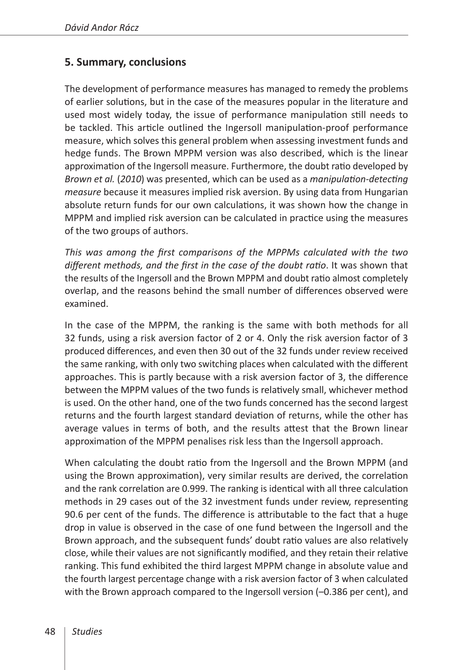## **5. Summary, conclusions**

The development of performance measures has managed to remedy the problems of earlier solutions, but in the case of the measures popular in the literature and used most widely today, the issue of performance manipulation still needs to be tackled. This article outlined the Ingersoll manipulation-proof performance measure, which solves this general problem when assessing investment funds and hedge funds. The Brown MPPM version was also described, which is the linear approximation of the Ingersoll measure. Furthermore, the doubt ratio developed by *Brown et al.* (*2010*) was presented, which can be used as a *manipulation-detecting measure* because it measures implied risk aversion. By using data from Hungarian absolute return funds for our own calculations, it was shown how the change in MPPM and implied risk aversion can be calculated in practice using the measures of the two groups of authors.

*This was among the first comparisons of the MPPMs calculated with the two different methods, and the first in the case of the doubt ratio*. It was shown that the results of the Ingersoll and the Brown MPPM and doubt ratio almost completely overlap, and the reasons behind the small number of differences observed were examined.

In the case of the MPPM, the ranking is the same with both methods for all 32 funds, using a risk aversion factor of 2 or 4. Only the risk aversion factor of 3 produced differences, and even then 30 out of the 32 funds under review received the same ranking, with only two switching places when calculated with the different approaches. This is partly because with a risk aversion factor of 3, the difference between the MPPM values of the two funds is relatively small, whichever method is used. On the other hand, one of the two funds concerned has the second largest returns and the fourth largest standard deviation of returns, while the other has average values in terms of both, and the results attest that the Brown linear approximation of the MPPM penalises risk less than the Ingersoll approach.

When calculating the doubt ratio from the Ingersoll and the Brown MPPM (and using the Brown approximation), very similar results are derived, the correlation and the rank correlation are 0.999. The ranking is identical with all three calculation methods in 29 cases out of the 32 investment funds under review, representing 90.6 per cent of the funds. The difference is attributable to the fact that a huge drop in value is observed in the case of one fund between the Ingersoll and the Brown approach, and the subsequent funds' doubt ratio values are also relatively close, while their values are not significantly modified, and they retain their relative ranking. This fund exhibited the third largest MPPM change in absolute value and the fourth largest percentage change with a risk aversion factor of 3 when calculated with the Brown approach compared to the Ingersoll version (-0.386 per cent), and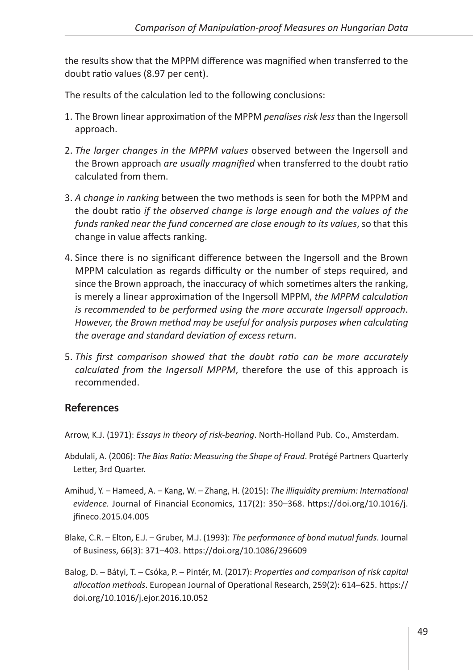the results show that the MPPM difference was magnified when transferred to the doubt ratio values (8.97 per cent).

The results of the calculation led to the following conclusions:

- 1. The Brown linear approximation of the MPPM *penalises risk less* than the Ingersoll approach.
- 2. *The larger changes in the MPPM values* observed between the Ingersoll and the Brown approach *are usually magnified* when transferred to the doubt ratio calculated from them.
- 3. *A change in ranking* between the two methods is seen for both the MPPM and the doubt ratio *if the observed change is large enough and the values of the funds ranked near the fund concerned are close enough to its values*, so that this change in value affects ranking.
- 4. Since there is no significant difference between the Ingersoll and the Brown MPPM calculation as regards difficulty or the number of steps required, and since the Brown approach, the inaccuracy of which sometimes alters the ranking, is merely a linear approximation of the Ingersoll MPPM, *the MPPM calculation is recommended to be performed using the more accurate Ingersoll approach*. *However, the Brown method may be useful for analysis purposes when calculating the average and standard deviation of excess return*.
- 5. *This first comparison showed that the doubt ratio can be more accurately calculated from the Ingersoll MPPM*, therefore the use of this approach is recommended.

## **References**

Arrow, K.J. (1971): *Essays in theory of risk-bearing*. North-Holland Pub. Co., Amsterdam.

- Abdulali, A. (2006): *The Bias Ratio: Measuring the Shape of Fraud*. Protégé Partners Quarterly Letter, 3rd Quarter.
- Amihud, Y. Hameed, A. Kang, W. Zhang, H. (2015): *The illiquidity premium: International evidence.* Journal of Financial Economics, 117(2): 350–368. [https://doi.org/10.1016/j.](https://doi.org/10.1016/j.jfineco.2015.04.005) [jfineco.2015.04.005](https://doi.org/10.1016/j.jfineco.2015.04.005)
- Blake, C.R. Elton, E.J. Gruber, M.J. (1993): *The performance of bond mutual funds*. Journal of Business, 66(3): 371–403. <https://doi.org/10.1086/296609>
- Balog, D. Bátyi, T. Csóka, P. Pintér, M. (2017): *Properties and comparison of risk capital allocation methods*. European Journal of Operational Research, 259(2): 614–625. [https://](https://doi.org/10.1016/j.ejor.2016.10.052) [doi.org/10.1016/j.ejor.2016.10.052](https://doi.org/10.1016/j.ejor.2016.10.052)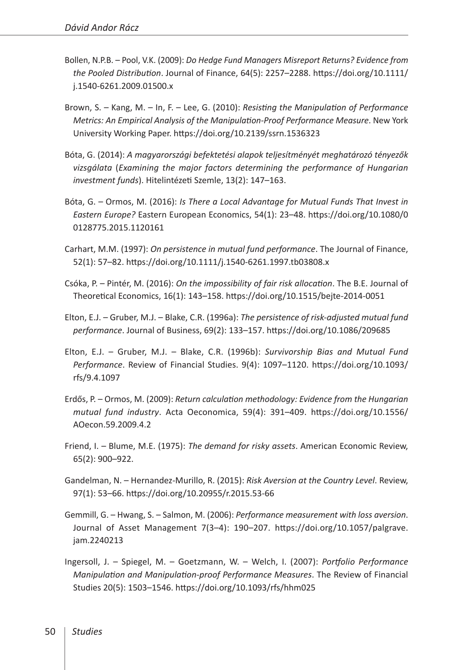- Bollen, N.P.B. Pool, V.K. (2009): *Do Hedge Fund Managers Misreport Returns? Evidence from the Pooled Distribution*. Journal of Finance, 64(5): 2257–2288. [https://doi.org/10.1111/](https://doi.org/10.1111/j.1540-6261.2009.01500.x) [j.1540-6261.2009.01500.x](https://doi.org/10.1111/j.1540-6261.2009.01500.x)
- Brown, S. Kang, M. In, F. Lee, G. (2010): *Resisting the Manipulation of Performance Metrics: An Empirical Analysis of the Manipulation-Proof Performance Measure*. New York University Working Paper. <https://doi.org/10.2139/ssrn.1536323>
- Bóta, G. (2014): *A magyarországi befektetési alapok teljesítményét meghatározó tényezők vizsgálata* (*Examining the major factors determining the performance of Hungarian investment funds*). Hitelintézeti Szemle, 13(2): 147–163.
- Bóta, G. Ormos, M. (2016): *Is There a Local Advantage for Mutual Funds That Invest in Eastern Europe?* Eastern European Economics, 54(1): 23–48. [https://doi.org/10.1080/0](https://doi.org/10.1080/00128775.2015.1120161) [0128775.2015.1120161](https://doi.org/10.1080/00128775.2015.1120161)
- Carhart, M.M. (1997): *On persistence in mutual fund performance*. The Journal of Finance, 52(1): 57–82.<https://doi.org/10.1111/j.1540-6261.1997.tb03808.x>
- Csóka, P. Pintér, M. (2016): *On the impossibility of fair risk allocation*. The B.E. Journal of Theoretical Economics, 16(1): 143–158. <https://doi.org/10.1515/bejte-2014-0051>
- Elton, E.J. Gruber, M.J. Blake, C.R. (1996a): *The persistence of risk-adjusted mutual fund performance*. Journal of Business, 69(2): 133–157. <https://doi.org/10.1086/209685>
- Elton, E.J. Gruber, M.J. Blake, C.R. (1996b): *Survivorship Bias and Mutual Fund Performance*. Review of Financial Studies. 9(4): 1097–1120. [https://doi.org/10.1093/](https://doi.org/10.1093/rfs/9.4.1097) [rfs/9.4.1097](https://doi.org/10.1093/rfs/9.4.1097)
- Erdős, P. Ormos, M. (2009): *Return calculation methodology: Evidence from the Hungarian mutual fund industry*. Acta Oeconomica, 59(4): 391–409. [https://doi.org/10.1556/](https://doi.org/10.1556/AOecon.59.2009.4.2) [AOecon.59.2009.4.2](https://doi.org/10.1556/AOecon.59.2009.4.2)
- Friend, I. Blume, M.E. (1975): *The demand for risky assets*. American Economic Review, 65(2): 900–922.
- Gandelman, N. Hernandez-Murillo, R. (2015): *Risk Aversion at the Country Level*. Review, 97(1): 53–66.<https://doi.org/10.20955/r.2015.53-66>
- Gemmill, G. Hwang, S. Salmon, M. (2006): *Performance measurement with loss aversion*. Journal of Asset Management 7(3–4): 190–207. [https://doi.org/10.1057/palgrave.](https://doi.org/10.1057/palgrave.jam.2240213) [jam.2240213](https://doi.org/10.1057/palgrave.jam.2240213)
- Ingersoll, J. Spiegel, M. Goetzmann, W. Welch, I. (2007): *Portfolio Performance Manipulation and Manipulation-proof Performance Measures*. The Review of Financial Studies 20(5): 1503–1546. <https://doi.org/10.1093/rfs/hhm025>